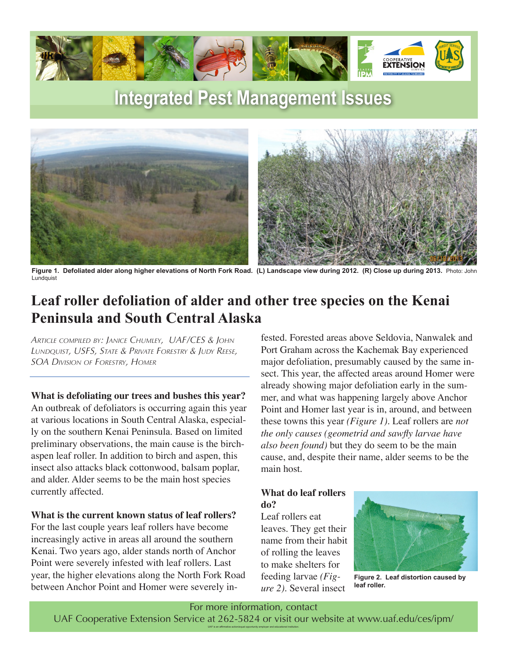

# **Integrated Pest Management Issues**



**Figure 1. Defoliated alder along higher elevations of North Fork Road. (L) Landscape view during 2012. (R) Close up during 2013.** Photo: John Lundquist

## **Leaf roller defoliation of alder and other tree species on the Kenai Peninsula and South Central Alaska**

*Article compiled by: Janice Chumley, UAF/CES & John Lundquist, USFS, State & Private Forestry & Judy Reese, SOA Division of Forestry, Homer*

**What is defoliating our trees and bushes this year?** An outbreak of defoliators is occurring again this year at various locations in South Central Alaska, especially on the southern Kenai Peninsula. Based on limited preliminary observations, the main cause is the birchaspen leaf roller. In addition to birch and aspen, this insect also attacks black cottonwood, balsam poplar, and alder. Alder seems to be the main host species currently affected.

#### **What is the current known status of leaf rollers?**

For the last couple years leaf rollers have become increasingly active in areas all around the southern Kenai. Two years ago, alder stands north of Anchor Point were severely infested with leaf rollers. Last year, the higher elevations along the North Fork Road between Anchor Point and Homer were severely infested. Forested areas above Seldovia, Nanwalek and Port Graham across the Kachemak Bay experienced major defoliation, presumably caused by the same insect. This year, the affected areas around Homer were already showing major defoliation early in the summer, and what was happening largely above Anchor Point and Homer last year is in, around, and between these towns this year *(Figure 1)*. Leaf rollers are *not the only causes (geometrid and sawfly larvae have also been found)* but they do seem to be the main cause, and, despite their name, alder seems to be the main host.

### **What do leaf rollers do?**

Leaf rollers eat leaves. They get their name from their habit of rolling the leaves to make shelters for feeding larvae *(Figure 2)*. Several insect



**Figure 2. Leaf distortion caused by leaf roller.**

For more information, contact UAF Cooperative Extension Service at 262-5824 or visit our website at www.uaf.edu/ces/ipm/ UAF is an affirmative action/equal opportunity employer and educational institution.